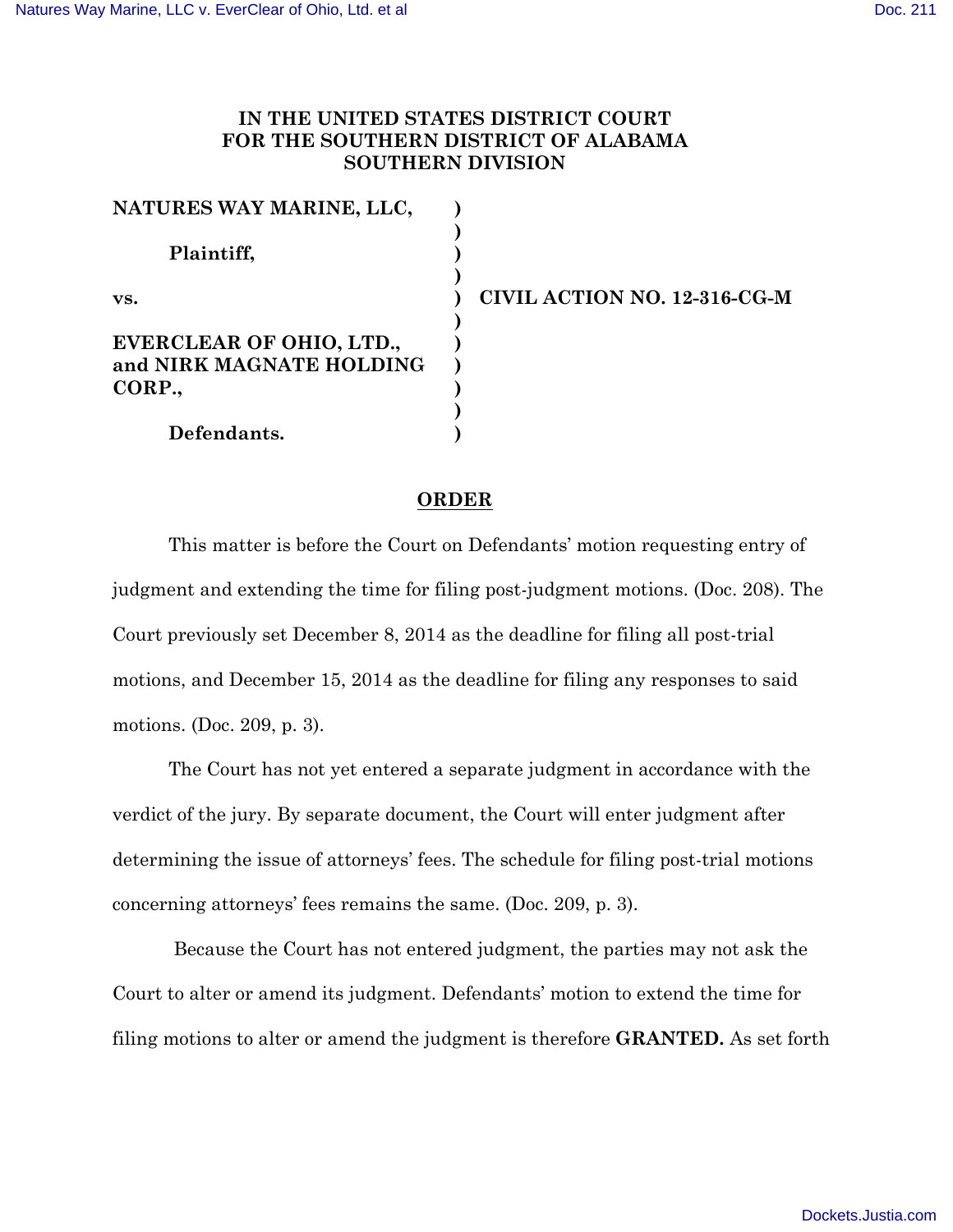## **IN THE UNITED STATES DISTRICT COURT FOR THE SOUTHERN DISTRICT OF ALABAMA SOUTHERN DIVISION**

| NATURES WAY MARINE, LLC,                                      |  |
|---------------------------------------------------------------|--|
| Plaintiff,                                                    |  |
| VS.                                                           |  |
| EVERCLEAR OF OHIO, LTD.,<br>and NIRK MAGNATE HOLDING<br>CORP. |  |
| Defendants.                                                   |  |

**vs. CIVIL ACTION NO. 12-316-CG-M**

## **ORDER**

This matter is before the Court on Defendants' motion requesting entry of judgment and extending the time for filing post-judgment motions. (Doc. 208). The Court previously set December 8, 2014 as the deadline for filing all post-trial motions, and December 15, 2014 as the deadline for filing any responses to said motions. (Doc. 209, p. 3).

The Court has not yet entered a separate judgment in accordance with the verdict of the jury. By separate document, the Court will enter judgment after determining the issue of attorneys' fees. The schedule for filing post-trial motions concerning attorneys' fees remains the same. (Doc. 209, p. 3).

Because the Court has not entered judgment, the parties may not ask the Court to alter or amend its judgment. Defendants' motion to extend the time for filing motions to alter or amend the judgment is therefore **GRANTED.** As set forth